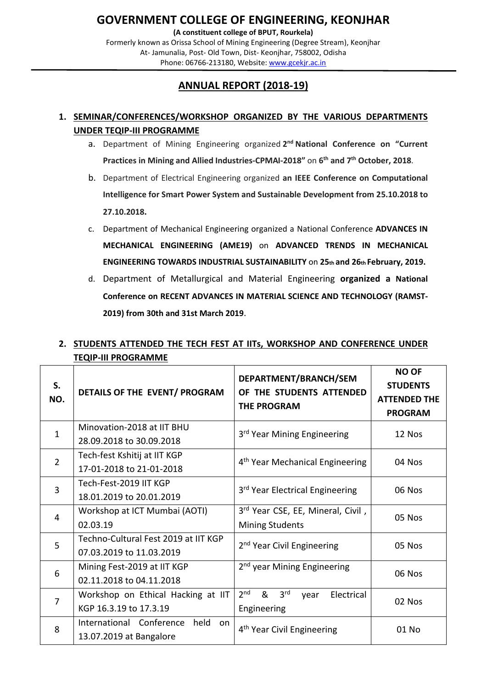**(A constituent college of BPUT, Rourkela)** Formerly known as Orissa School of Mining Engineering (Degree Stream), Keonjhar At- Jamunalia, Post- Old Town, Dist- Keonjhar, 758002, Odisha Phone: 06766-213180, Website: [www.gcekjr.ac.in](http://www.gcekjr.ac.in/)

### **ANNUAL REPORT (2018-19)**

#### **1. SEMINAR/CONFERENCES/WORKSHOP ORGANIZED BY THE VARIOUS DEPARTMENTS UNDER TEQIP-III PROGRAMME**

- a. Department of Mining Engineering organized **2nd National Conference on "Current Practices in Mining and Allied Industries-CPMAI-2018"** on **6th and 7th October, 2018**.
- b. Department of Electrical Engineering organized **an IEEE Conference on Computational Intelligence for Smart Power System and Sustainable Development from 25.10.2018 to 27.10.2018.**
- c. Department of Mechanical Engineering organized a National Conference **ADVANCES IN MECHANICAL ENGINEERING (AME19)** on **ADVANCED TRENDS IN MECHANICAL ENGINEERING TOWARDS INDUSTRIAL SUSTAINABILITY** on **25th and 26th February, 2019.**
- d. Department of Metallurgical and Material Engineering **organized a National Conference on RECENT ADVANCES IN MATERIAL SCIENCE AND TECHNOLOGY (RAMST-2019) from 30th and 31st March 2019**.

| S.<br>NO.      | DETAILS OF THE EVENT/ PROGRAM                                     | DEPARTMENT/BRANCH/SEM<br>OF THE STUDENTS ATTENDED<br><b>THE PROGRAM</b>      | <b>NO OF</b><br><b>STUDENTS</b><br><b>ATTENDED THE</b><br><b>PROGRAM</b> |
|----------------|-------------------------------------------------------------------|------------------------------------------------------------------------------|--------------------------------------------------------------------------|
| $\mathbf{1}$   | Minovation-2018 at IIT BHU<br>28.09.2018 to 30.09.2018            | 3 <sup>rd</sup> Year Mining Engineering                                      | 12 Nos                                                                   |
| $\overline{2}$ | Tech-fest Kshitij at IIT KGP<br>17-01-2018 to 21-01-2018          | 4 <sup>th</sup> Year Mechanical Engineering                                  | 04 Nos                                                                   |
| 3              | Tech-Fest-2019 IIT KGP<br>18.01.2019 to 20.01.2019                | 3 <sup>rd</sup> Year Electrical Engineering                                  | 06 Nos                                                                   |
| $\overline{4}$ | Workshop at ICT Mumbai (AOTI)<br>02.03.19                         | 3rd Year CSE, EE, Mineral, Civil,<br><b>Mining Students</b>                  | 05 Nos                                                                   |
| 5              | Techno-Cultural Fest 2019 at IIT KGP<br>07.03.2019 to 11.03.2019  | 2 <sup>nd</sup> Year Civil Engineering                                       | 05 Nos                                                                   |
| 6              | Mining Fest-2019 at IIT KGP<br>02.11.2018 to 04.11.2018           | 2 <sup>nd</sup> year Mining Engineering                                      | 06 Nos                                                                   |
| $\overline{7}$ | Workshop on Ethical Hacking at IIT<br>KGP 16.3.19 to 17.3.19      | 2 <sup>nd</sup><br>&<br>3 <sup>rd</sup><br>Electrical<br>year<br>Engineering | 02 Nos                                                                   |
| 8              | International Conference<br>held<br>on<br>13.07.2019 at Bangalore | 4 <sup>th</sup> Year Civil Engineering                                       | 01 No                                                                    |

### **2. STUDENTS ATTENDED THE TECH FEST AT IITs, WORKSHOP AND CONFERENCE UNDER TEQIP-III PROGRAMME**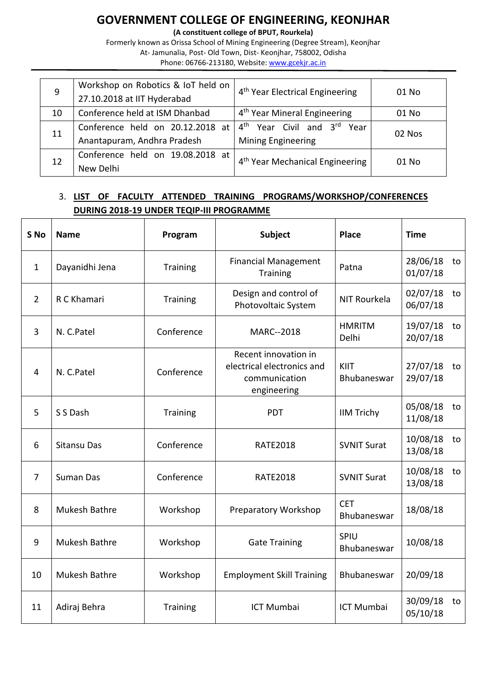**(A constituent college of BPUT, Rourkela)**

Formerly known as Orissa School of Mining Engineering (Degree Stream), Keonjhar At- Jamunalia, Post- Old Town, Dist- Keonjhar, 758002, Odisha Phone: 06766-213180, Website: [www.gcekjr.ac.in](http://www.gcekjr.ac.in/)

| 9  | Workshop on Robotics & IoT held on<br>27.10.2018 at IIT Hyderabad          | 4 <sup>th</sup> Year Electrical Engineering                                | 01 No  |
|----|----------------------------------------------------------------------------|----------------------------------------------------------------------------|--------|
| 10 | 4 <sup>th</sup> Year Mineral Engineering<br>Conference held at ISM Dhanbad |                                                                            | 01 No  |
| 11 | Conference held on 20.12.2018 at<br>Anantapuram, Andhra Pradesh            | $4^{\text{th}}$<br>Year Civil and 3rd<br>Year<br><b>Mining Engineering</b> | 02 Nos |
| 12 | Conference held on 19.08.2018 at<br>New Delhi                              | 4 <sup>th</sup> Year Mechanical Engineering                                | 01 No  |

#### 3. **LIST OF FACULTY ATTENDED TRAINING PROGRAMS/WORKSHOP/CONFERENCES DURING 2018-19 UNDER TEQIP-III PROGRAMME**

| S <sub>No</sub> | <b>Name</b>          | Program         | Subject                                                                            | <b>Place</b>              | <b>Time</b>                |
|-----------------|----------------------|-----------------|------------------------------------------------------------------------------------|---------------------------|----------------------------|
| $\mathbf{1}$    | Dayanidhi Jena       | Training        | <b>Financial Management</b><br><b>Training</b>                                     | Patna                     | 28/06/18<br>to<br>01/07/18 |
| $\overline{2}$  | R C Khamari          | Training        | Design and control of<br>Photovoltaic System                                       | NIT Rourkela              | 02/07/18<br>to<br>06/07/18 |
| 3               | N. C.Patel           | Conference      | MARC--2018                                                                         | <b>HMRITM</b><br>Delhi    | 19/07/18<br>to<br>20/07/18 |
| 4               | N. C.Patel           | Conference      | Recent innovation in<br>electrical electronics and<br>communication<br>engineering | KIIT<br>Bhubaneswar       | 27/07/18<br>to<br>29/07/18 |
| 5               | S S Dash             | <b>Training</b> | <b>PDT</b>                                                                         | <b>IIM Trichy</b>         | 05/08/18<br>to<br>11/08/18 |
| 6               | <b>Sitansu Das</b>   | Conference      | <b>RATE2018</b>                                                                    | <b>SVNIT Surat</b>        | 10/08/18<br>to<br>13/08/18 |
| $\overline{7}$  | Suman Das            | Conference      | <b>RATE2018</b>                                                                    | <b>SVNIT Surat</b>        | 10/08/18<br>to<br>13/08/18 |
| 8               | Mukesh Bathre        | Workshop        | Preparatory Workshop                                                               | <b>CET</b><br>Bhubaneswar | 18/08/18                   |
| 9               | <b>Mukesh Bathre</b> | Workshop        | <b>Gate Training</b>                                                               | SPIU<br>Bhubaneswar       | 10/08/18                   |
| 10              | Mukesh Bathre        | Workshop        | <b>Employment Skill Training</b>                                                   | Bhubaneswar               | 20/09/18                   |
| 11              | Adiraj Behra         | <b>Training</b> | <b>ICT Mumbai</b>                                                                  | <b>ICT Mumbai</b>         | 30/09/18<br>to<br>05/10/18 |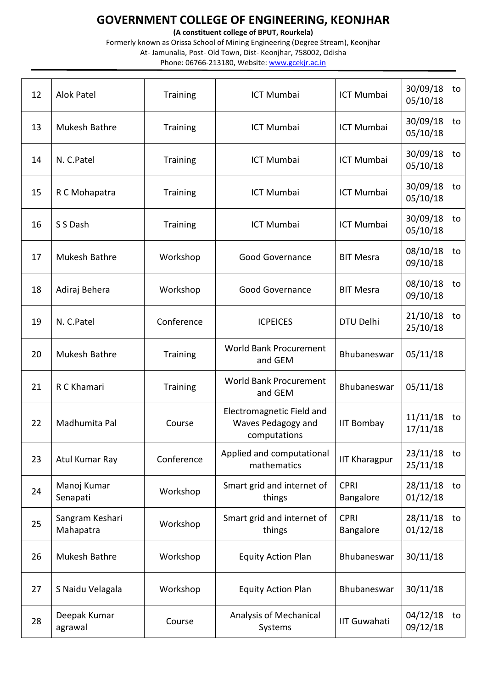**(A constituent college of BPUT, Rourkela)**

| 12 | <b>Alok Patel</b>            | <b>Training</b> | <b>ICT Mumbai</b><br><b>ICT Mumbai</b>                          |                          | 30/09/18<br>to<br>05/10/18 |
|----|------------------------------|-----------------|-----------------------------------------------------------------|--------------------------|----------------------------|
| 13 | Mukesh Bathre                | <b>Training</b> | <b>ICT Mumbai</b>                                               | <b>ICT Mumbai</b>        | 30/09/18<br>to<br>05/10/18 |
| 14 | N. C.Patel                   | <b>Training</b> | <b>ICT Mumbai</b>                                               | <b>ICT Mumbai</b>        | 30/09/18<br>to<br>05/10/18 |
| 15 | R C Mohapatra                | Training        | <b>ICT Mumbai</b>                                               | <b>ICT Mumbai</b>        | 30/09/18<br>to<br>05/10/18 |
| 16 | S S Dash                     | <b>Training</b> | <b>ICT Mumbai</b>                                               | <b>ICT Mumbai</b>        | 30/09/18<br>to<br>05/10/18 |
| 17 | Mukesh Bathre                | Workshop        | <b>Good Governance</b>                                          | <b>BIT Mesra</b>         | 08/10/18<br>to<br>09/10/18 |
| 18 | Adiraj Behera                | Workshop        | <b>Good Governance</b>                                          | <b>BIT Mesra</b>         | 08/10/18<br>to<br>09/10/18 |
| 19 | N. C.Patel                   | Conference      | <b>ICPEICES</b>                                                 | DTU Delhi                | 21/10/18<br>to<br>25/10/18 |
| 20 | Mukesh Bathre                | <b>Training</b> | <b>World Bank Procurement</b><br>and GEM                        | Bhubaneswar              | 05/11/18                   |
| 21 | R C Khamari                  | <b>Training</b> | <b>World Bank Procurement</b><br>and GEM                        | Bhubaneswar              | 05/11/18                   |
| 22 | Madhumita Pal                | Course          | Electromagnetic Field and<br>Waves Pedagogy and<br>computations | <b>IIT Bombay</b>        | 11/11/18<br>to<br>17/11/18 |
| 23 | Atul Kumar Ray               | Conference      | Applied and computational<br>mathematics                        | <b>IIT Kharagpur</b>     | 23/11/18<br>to<br>25/11/18 |
| 24 | Manoj Kumar<br>Senapati      | Workshop        | Smart grid and internet of<br>things                            | <b>CPRI</b><br>Bangalore | 28/11/18<br>to<br>01/12/18 |
| 25 | Sangram Keshari<br>Mahapatra | Workshop        | Smart grid and internet of<br>things                            | <b>CPRI</b><br>Bangalore | 28/11/18<br>to<br>01/12/18 |
| 26 | Mukesh Bathre                | Workshop        | <b>Equity Action Plan</b>                                       | Bhubaneswar              | 30/11/18                   |
| 27 | S Naidu Velagala             | Workshop        | <b>Equity Action Plan</b>                                       | Bhubaneswar              | 30/11/18                   |
| 28 | Deepak Kumar<br>agrawal      | Course          | Analysis of Mechanical<br>Systems                               | <b>IIT Guwahati</b>      | 04/12/18<br>to<br>09/12/18 |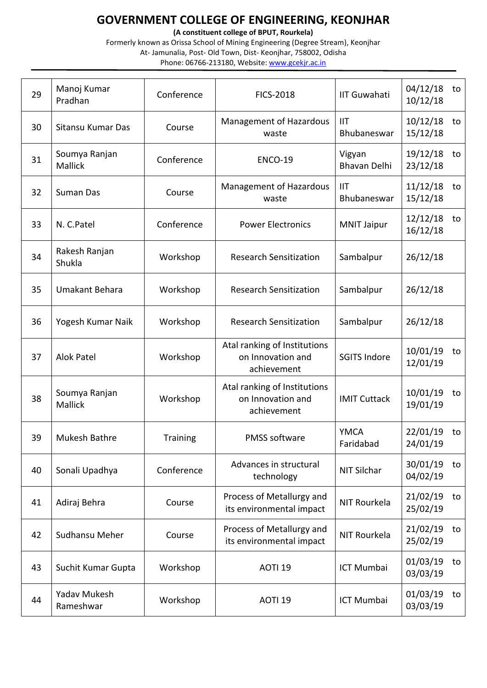**(A constituent college of BPUT, Rourkela)**

| 29 | Manoj Kumar<br>Pradhan           | Conference      | <b>IIT Guwahati</b><br><b>FICS-2018</b>                          |                               | 04/12/18<br>to<br>10/12/18 |
|----|----------------------------------|-----------------|------------------------------------------------------------------|-------------------------------|----------------------------|
| 30 | Sitansu Kumar Das                | Course          | Management of Hazardous<br>waste                                 | <b>IIT</b><br>Bhubaneswar     | 10/12/18<br>to<br>15/12/18 |
| 31 | Soumya Ranjan<br>Mallick         | Conference      | <b>ENCO-19</b>                                                   | Vigyan<br><b>Bhavan Delhi</b> | 19/12/18<br>to<br>23/12/18 |
| 32 | Suman Das                        | Course          | Management of Hazardous<br>waste                                 | IIT<br>Bhubaneswar            | 11/12/18<br>to<br>15/12/18 |
| 33 | N. C.Patel                       | Conference      | <b>Power Electronics</b>                                         | <b>MNIT Jaipur</b>            | 12/12/18<br>to<br>16/12/18 |
| 34 | Rakesh Ranjan<br>Shukla          | Workshop        | <b>Research Sensitization</b>                                    | Sambalpur                     | 26/12/18                   |
| 35 | Umakant Behara                   | Workshop        | <b>Research Sensitization</b>                                    | Sambalpur                     | 26/12/18                   |
| 36 | Yogesh Kumar Naik                | Workshop        | <b>Research Sensitization</b>                                    | Sambalpur                     | 26/12/18                   |
| 37 | <b>Alok Patel</b>                | Workshop        | Atal ranking of Institutions<br>on Innovation and<br>achievement | <b>SGITS Indore</b>           | 10/01/19<br>to<br>12/01/19 |
| 38 | Soumya Ranjan<br><b>Mallick</b>  | Workshop        | Atal ranking of Institutions<br>on Innovation and<br>achievement | <b>IMIT Cuttack</b>           | 10/01/19<br>to<br>19/01/19 |
| 39 | Mukesh Bathre                    | <b>Training</b> | <b>PMSS software</b>                                             | <b>YMCA</b><br>Faridabad      | 22/01/19<br>to<br>24/01/19 |
| 40 | Sonali Upadhya                   | Conference      | Advances in structural<br>technology                             | NIT Silchar                   | 30/01/19<br>to<br>04/02/19 |
| 41 | Adiraj Behra                     | Course          | Process of Metallurgy and<br>its environmental impact            | NIT Rourkela                  | 21/02/19<br>to<br>25/02/19 |
| 42 | Sudhansu Meher                   | Course          | Process of Metallurgy and<br>its environmental impact            | NIT Rourkela                  | 21/02/19<br>to<br>25/02/19 |
| 43 | Suchit Kumar Gupta               | Workshop        | AOTI <sub>19</sub>                                               | ICT Mumbai                    | 01/03/19<br>to<br>03/03/19 |
| 44 | <b>Yadav Mukesh</b><br>Rameshwar | Workshop        | AOTI <sub>19</sub>                                               | ICT Mumbai                    | 01/03/19<br>to<br>03/03/19 |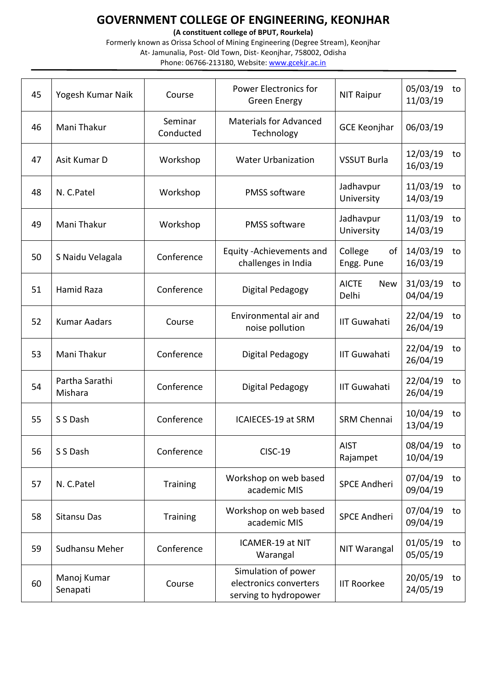**(A constituent college of BPUT, Rourkela)**

| 45 | Yogesh Kumar Naik         | Course               | <b>Power Electronics for</b><br><b>Green Energy</b>                    | <b>NIT Raipur</b>                   | 05/03/19<br>11/03/19    | to |
|----|---------------------------|----------------------|------------------------------------------------------------------------|-------------------------------------|-------------------------|----|
| 46 | Mani Thakur               | Seminar<br>Conducted | <b>Materials for Advanced</b><br>Technology                            | <b>GCE Keonjhar</b>                 | 06/03/19                |    |
| 47 | Asit Kumar D              | Workshop             | <b>Water Urbanization</b>                                              | <b>VSSUT Burla</b>                  | 12/03/19<br>16/03/19    | to |
| 48 | N. C.Patel                | Workshop             | <b>PMSS software</b>                                                   | Jadhavpur<br>University             | 11/03/19<br>14/03/19    | to |
| 49 | Mani Thakur               | Workshop             | <b>PMSS software</b>                                                   | Jadhavpur<br>University             | 11/03/19<br>14/03/19    | to |
| 50 | S Naidu Velagala          | Conference           | Equity - Achievements and<br>challenges in India                       | College<br>of<br>Engg. Pune         | 14/03/19<br>16/03/19    | to |
| 51 | Hamid Raza                | Conference           | Digital Pedagogy                                                       | <b>AICTE</b><br><b>New</b><br>Delhi | 31/03/19<br>04/04/19    | to |
| 52 | <b>Kumar Aadars</b>       | Course               | Environmental air and<br>noise pollution                               | <b>IIT Guwahati</b>                 | 22/04/19<br>26/04/19    | to |
| 53 | Mani Thakur               | Conference           | Digital Pedagogy                                                       | <b>IIT Guwahati</b>                 | 22/04/19<br>26/04/19    | to |
| 54 | Partha Sarathi<br>Mishara | Conference           | Digital Pedagogy                                                       | <b>IIT Guwahati</b>                 | 22/04/19<br>26/04/19    | to |
| 55 | S S Dash                  | Conference           | ICAIECES-19 at SRM                                                     | <b>SRM Chennai</b>                  | 10/04/19<br>13/04/19    | to |
| 56 | S S Dash                  | Conference           | <b>CISC-19</b>                                                         | <b>AIST</b><br>Rajampet             | 08/04/19 to<br>10/04/19 |    |
| 57 | N. C.Patel                | Training             | Workshop on web based<br>academic MIS                                  | <b>SPCE Andheri</b>                 | 07/04/19<br>09/04/19    | to |
| 58 | <b>Sitansu Das</b>        | <b>Training</b>      | Workshop on web based<br>academic MIS                                  | <b>SPCE Andheri</b>                 | 07/04/19<br>09/04/19    | to |
| 59 | Sudhansu Meher            | Conference           | ICAMER-19 at NIT<br>Warangal                                           | NIT Warangal                        | 01/05/19<br>05/05/19    | to |
| 60 | Manoj Kumar<br>Senapati   | Course               | Simulation of power<br>electronics converters<br>serving to hydropower | <b>IIT Roorkee</b>                  | 20/05/19<br>24/05/19    | to |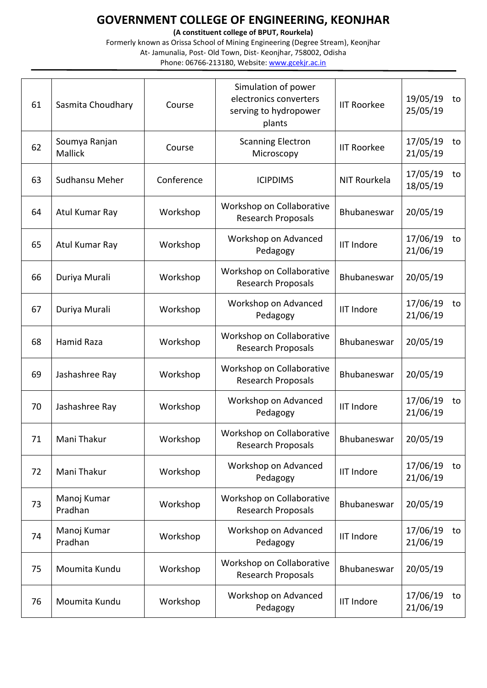**(A constituent college of BPUT, Rourkela)**

| 61 | Sasmita Choudhary               | Course     | Simulation of power<br>electronics converters<br>serving to hydropower<br>plants | <b>IIT Roorkee</b> | 19/05/19<br>25/05/19 | to |
|----|---------------------------------|------------|----------------------------------------------------------------------------------|--------------------|----------------------|----|
| 62 | Soumya Ranjan<br><b>Mallick</b> | Course     | <b>Scanning Electron</b><br>Microscopy                                           | <b>IIT Roorkee</b> | 17/05/19<br>21/05/19 | to |
| 63 | Sudhansu Meher                  | Conference | <b>ICIPDIMS</b>                                                                  | NIT Rourkela       | 17/05/19<br>18/05/19 | to |
| 64 | Atul Kumar Ray                  | Workshop   | Workshop on Collaborative<br><b>Research Proposals</b>                           | Bhubaneswar        | 20/05/19             |    |
| 65 | Atul Kumar Ray                  | Workshop   | Workshop on Advanced<br>Pedagogy                                                 | <b>IIT Indore</b>  | 17/06/19<br>21/06/19 | to |
| 66 | Duriya Murali                   | Workshop   | Workshop on Collaborative<br><b>Research Proposals</b>                           | Bhubaneswar        | 20/05/19             |    |
| 67 | Duriya Murali                   | Workshop   | Workshop on Advanced<br>Pedagogy                                                 | <b>IIT Indore</b>  | 17/06/19<br>21/06/19 | to |
| 68 | <b>Hamid Raza</b>               | Workshop   | Workshop on Collaborative<br>Research Proposals                                  | Bhubaneswar        | 20/05/19             |    |
| 69 | Jashashree Ray                  | Workshop   | Workshop on Collaborative<br>Research Proposals                                  | Bhubaneswar        | 20/05/19             |    |
| 70 | Jashashree Ray                  | Workshop   | Workshop on Advanced<br>Pedagogy                                                 | <b>IIT Indore</b>  | 17/06/19<br>21/06/19 | to |
| 71 | Mani Thakur                     | Workshop   | Workshop on Collaborative<br><b>Research Proposals</b>                           | Bhubaneswar        | 20/05/19             |    |
| 72 | Mani Thakur                     | Workshop   | Workshop on Advanced<br>Pedagogy                                                 | <b>IIT Indore</b>  | 17/06/19<br>21/06/19 | to |
| 73 | Manoj Kumar<br>Pradhan          | Workshop   | Workshop on Collaborative<br><b>Research Proposals</b>                           | Bhubaneswar        | 20/05/19             |    |
| 74 | Manoj Kumar<br>Pradhan          | Workshop   | Workshop on Advanced<br>Pedagogy                                                 | <b>IIT Indore</b>  | 17/06/19<br>21/06/19 | to |
| 75 | Moumita Kundu                   | Workshop   | Workshop on Collaborative<br><b>Research Proposals</b>                           | Bhubaneswar        | 20/05/19             |    |
| 76 | Moumita Kundu                   | Workshop   | Workshop on Advanced<br>Pedagogy                                                 | <b>IIT Indore</b>  | 17/06/19<br>21/06/19 | to |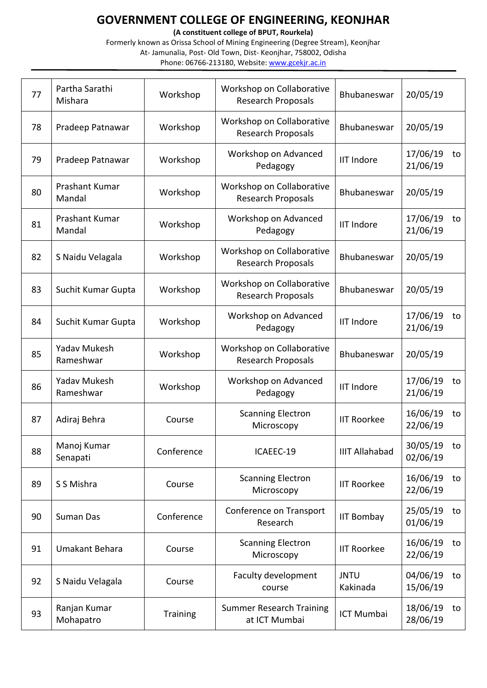**(A constituent college of BPUT, Rourkela)**

| 77 | Partha Sarathi<br>Mishara        | Workshop        | Workshop on Collaborative<br><b>Research Proposals</b> | Bhubaneswar             | 20/05/19                   |
|----|----------------------------------|-----------------|--------------------------------------------------------|-------------------------|----------------------------|
| 78 | Pradeep Patnawar                 | Workshop        | Workshop on Collaborative<br><b>Research Proposals</b> | Bhubaneswar             | 20/05/19                   |
| 79 | Pradeep Patnawar                 | Workshop        | Workshop on Advanced<br>Pedagogy                       | <b>IIT Indore</b>       | 17/06/19<br>to<br>21/06/19 |
| 80 | Prashant Kumar<br>Mandal         | Workshop        | Workshop on Collaborative<br><b>Research Proposals</b> | Bhubaneswar             | 20/05/19                   |
| 81 | Prashant Kumar<br>Mandal         | Workshop        | Workshop on Advanced<br>Pedagogy                       | <b>IIT Indore</b>       | 17/06/19<br>to<br>21/06/19 |
| 82 | S Naidu Velagala                 | Workshop        | Workshop on Collaborative<br><b>Research Proposals</b> | Bhubaneswar             | 20/05/19                   |
| 83 | Suchit Kumar Gupta               | Workshop        | Workshop on Collaborative<br><b>Research Proposals</b> | Bhubaneswar             | 20/05/19                   |
| 84 | Suchit Kumar Gupta               | Workshop        | Workshop on Advanced<br>Pedagogy                       | <b>IIT Indore</b>       | 17/06/19<br>to<br>21/06/19 |
| 85 | <b>Yadav Mukesh</b><br>Rameshwar | Workshop        | Workshop on Collaborative<br><b>Research Proposals</b> | Bhubaneswar             | 20/05/19                   |
| 86 | <b>Yadav Mukesh</b><br>Rameshwar | Workshop        | Workshop on Advanced<br>Pedagogy                       | <b>IIT Indore</b>       | 17/06/19<br>to<br>21/06/19 |
| 87 | Adiraj Behra                     | Course          | <b>Scanning Electron</b><br>Microscopy                 | <b>IIT Roorkee</b>      | 16/06/19<br>to<br>22/06/19 |
| 88 | Manoj Kumar<br>Senapati          | Conference      | ICAEEC-19                                              | <b>IIIT Allahabad</b>   | 30/05/19 to<br>02/06/19    |
| 89 | S S Mishra                       | Course          | <b>Scanning Electron</b><br>Microscopy                 | <b>IIT Roorkee</b>      | 16/06/19<br>to<br>22/06/19 |
| 90 | Suman Das                        | Conference      | Conference on Transport<br>Research                    | <b>IIT Bombay</b>       | 25/05/19<br>to<br>01/06/19 |
| 91 | Umakant Behara                   | Course          | <b>Scanning Electron</b><br>Microscopy                 | <b>IIT Roorkee</b>      | 16/06/19<br>to<br>22/06/19 |
| 92 | S Naidu Velagala                 | Course          | Faculty development<br>course                          | <b>JNTU</b><br>Kakinada | 04/06/19<br>to<br>15/06/19 |
| 93 | Ranjan Kumar<br>Mohapatro        | <b>Training</b> | <b>Summer Research Training</b><br>at ICT Mumbai       | ICT Mumbai              | 18/06/19<br>to<br>28/06/19 |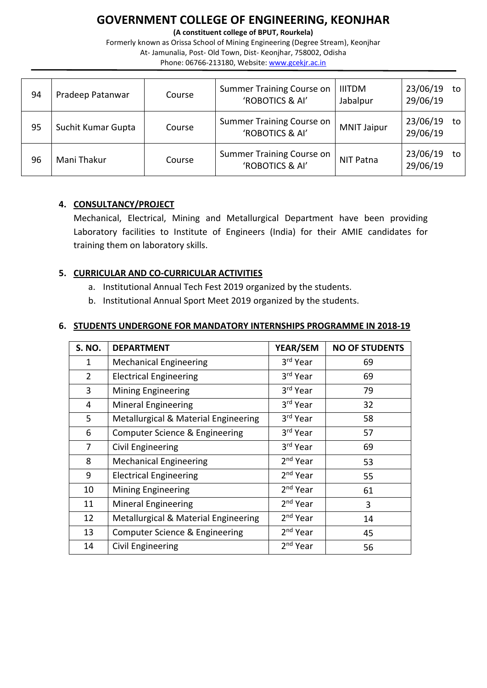**(A constituent college of BPUT, Rourkela)**

Formerly known as Orissa School of Mining Engineering (Degree Stream), Keonjhar At- Jamunalia, Post- Old Town, Dist- Keonjhar, 758002, Odisha Phone: 06766-213180, Website: [www.gcekjr.ac.in](http://www.gcekjr.ac.in/)

| 94 | Pradeep Patanwar   | Course | Summer Training Course on<br>'ROBOTICS & AI'        | <b>IIITDM</b><br>Jabalpur | 23/06/19<br>29/06/19 | to |
|----|--------------------|--------|-----------------------------------------------------|---------------------------|----------------------|----|
| 95 | Suchit Kumar Gupta | Course | Summer Training Course on<br>'ROBOTICS & AI'        | <b>MNIT Jaipur</b>        | 23/06/19<br>29/06/19 | to |
| 96 | Mani Thakur        | Course | <b>Summer Training Course on</b><br>'ROBOTICS & AI' | NIT Patna                 | 23/06/19<br>29/06/19 | to |

#### **4. CONSULTANCY/PROJECT**

Mechanical, Electrical, Mining and Metallurgical Department have been providing Laboratory facilities to Institute of Engineers (India) for their AMIE candidates for training them on laboratory skills.

#### **5. CURRICULAR AND CO-CURRICULAR ACTIVITIES**

- a. Institutional Annual Tech Fest 2019 organized by the students.
- b. Institutional Annual Sport Meet 2019 organized by the students.

#### **6. STUDENTS UNDERGONE FOR MANDATORY INTERNSHIPS PROGRAMME IN 2018-19**

| <b>S. NO.</b> | <b>DEPARTMENT</b>                    | YEAR/SEM             | <b>NO OF STUDENTS</b> |
|---------------|--------------------------------------|----------------------|-----------------------|
| 1             | <b>Mechanical Engineering</b>        | 3rd Year             | 69                    |
| 2             | <b>Electrical Engineering</b>        | 3rd Year             | 69                    |
| 3             | <b>Mining Engineering</b>            | 3rd Year             | 79                    |
| 4             | <b>Mineral Engineering</b>           | 3rd Year             | 32                    |
| 5             | Metallurgical & Material Engineering | 3rd Year             | 58                    |
| 6             | Computer Science & Engineering       | 3rd Year             | 57                    |
| 7             | Civil Engineering                    | 3rd Year             | 69                    |
| 8             | <b>Mechanical Engineering</b>        | $2nd$ Year           | 53                    |
| 9             | <b>Electrical Engineering</b>        | $2nd$ Year           | 55                    |
| 10            | <b>Mining Engineering</b>            | 2 <sup>nd</sup> Year | 61                    |
| 11            | <b>Mineral Engineering</b>           | $2nd$ Year           | 3                     |
| 12            | Metallurgical & Material Engineering | 2 <sup>nd</sup> Year | 14                    |
| 13            | Computer Science & Engineering       | 2 <sup>nd</sup> Year | 45                    |
| 14            | Civil Engineering                    | 2 <sup>nd</sup> Year | 56                    |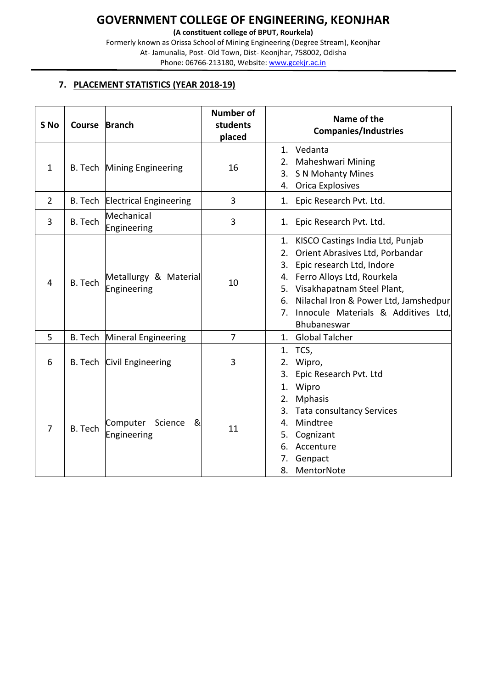**(A constituent college of BPUT, Rourkela)**

Formerly known as Orissa School of Mining Engineering (Degree Stream), Keonjhar At- Jamunalia, Post- Old Town, Dist- Keonjhar, 758002, Odisha Phone: 06766-213180, Website: [www.gcekjr.ac.in](http://www.gcekjr.ac.in/)

#### **7. PLACEMENT STATISTICS (YEAR 2018-19)**

| S <sub>No</sub> | Course Branch  |                                         | <b>Number of</b><br>students<br>placed | Name of the<br><b>Companies/Industries</b>                                                                                                                                                                                                                                                   |
|-----------------|----------------|-----------------------------------------|----------------------------------------|----------------------------------------------------------------------------------------------------------------------------------------------------------------------------------------------------------------------------------------------------------------------------------------------|
| $\mathbf{1}$    |                | B. Tech Mining Engineering              | 16                                     | 1. Vedanta<br>Maheshwari Mining<br>2.<br>S N Mohanty Mines<br>3.<br><b>Orica Explosives</b><br>4.                                                                                                                                                                                            |
| $\overline{2}$  |                | B. Tech Electrical Engineering          | 3                                      | Epic Research Pvt. Ltd.<br>1.                                                                                                                                                                                                                                                                |
| 3               | <b>B.</b> Tech | Mechanical<br>Engineering               | 3                                      | Epic Research Pvt. Ltd.<br>1.                                                                                                                                                                                                                                                                |
| 4               | B. Tech        | Metallurgy & Material<br>Engineering    | 10                                     | KISCO Castings India Ltd, Punjab<br>1.<br>Orient Abrasives Ltd, Porbandar<br>2.<br>Epic research Ltd, Indore<br>3.<br>4. Ferro Alloys Ltd, Rourkela<br>5. Visakhapatnam Steel Plant,<br>Nilachal Iron & Power Ltd, Jamshedpur<br>6.<br>7. Innocule Materials & Additives Ltd,<br>Bhubaneswar |
| 5               |                | B. Tech Mineral Engineering             | $\overline{7}$                         | 1. Global Talcher                                                                                                                                                                                                                                                                            |
| 6               |                | B. Tech Civil Engineering               | 3                                      | 1. TCS,<br>2. Wipro,<br>3.<br>Epic Research Pvt. Ltd                                                                                                                                                                                                                                         |
| 7               | B. Tech        | Computer<br>Science<br>&<br>Engineering | 11                                     | Wipro<br>1.<br><b>Mphasis</b><br>2.<br><b>Tata consultancy Services</b><br>3.<br>Mindtree<br>4.<br>Cognizant<br>5.<br>Accenture<br>6.<br>7.<br>Genpact<br>8.<br>MentorNote                                                                                                                   |